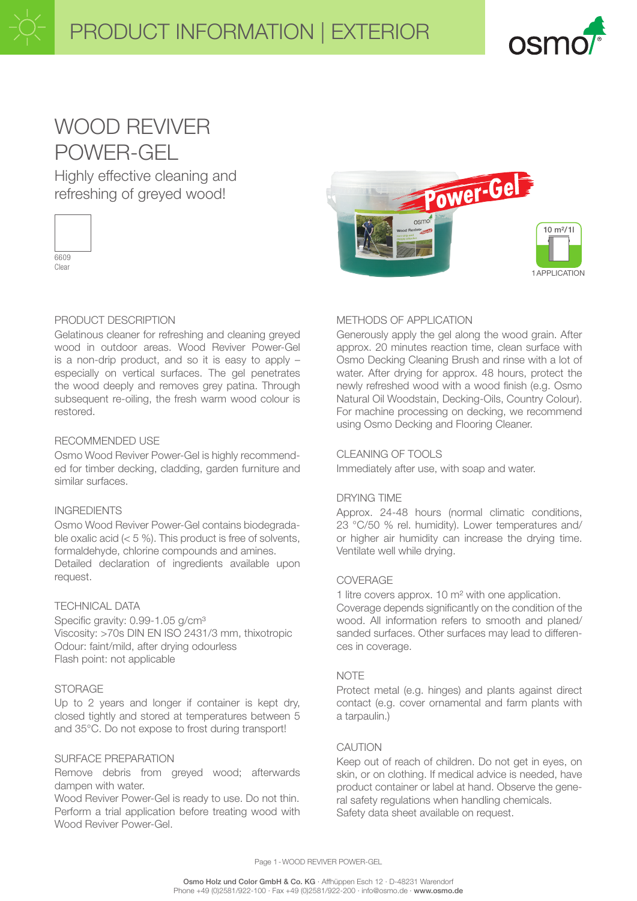

# WOOD REVIVER POWER-GEL

Highly effective cleaning and refreshing of greyed wood!



Clear

## PRODUCT DESCRIPTION

Gelatinous cleaner for refreshing and cleaning greyed wood in outdoor areas. Wood Reviver Power-Gel is a non-drip product, and so it is easy to apply – especially on vertical surfaces. The gel penetrates the wood deeply and removes grey patina. Through subsequent re-oiling, the fresh warm wood colour is restored.

#### RECOMMENDED USE

Osmo Wood Reviver Power-Gel is highly recommended for timber decking, cladding, garden furniture and similar surfaces.

### INGREDIENTS

Osmo Wood Reviver Power-Gel contains biodegradable oxalic acid  $(< 5 %)$ . This product is free of solvents, formaldehyde, chlorine compounds and amines. Detailed declaration of ingredients available upon request.

#### TECHNICAL DATA

Specific gravity: 0.99-1.05 g/cm<sup>3</sup> Viscosity: >70s DIN EN ISO 2431/3 mm, thixotropic Odour: faint/mild, after drying odourless Flash point: not applicable

## **STORAGE**

Up to 2 years and longer if container is kept dry, closed tightly and stored at temperatures between 5 and 35°C. Do not expose to frost during transport!

#### SURFACE PREPARATION

Remove debris from greyed wood; afterwards dampen with water.

Wood Reviver Power-Gel is ready to use. Do not thin. Perform a trial application before treating wood with Wood Reviver Power-Gel.



### METHODS OF APPLICATION

Generously apply the gel along the wood grain. After approx. 20 minutes reaction time, clean surface with Osmo Decking Cleaning Brush and rinse with a lot of water. After drying for approx. 48 hours, protect the newly refreshed wood with a wood finish (e.g. Osmo Natural Oil Woodstain, Decking-Oils, Country Colour). For machine processing on decking, we recommend using Osmo Decking and Flooring Cleaner.

#### CLEANING OF TOOLS

Immediately after use, with soap and water.

#### DRYING TIME

Approx. 24-48 hours (normal climatic conditions, 23 °C/50 % rel. humidity). Lower temperatures and/ or higher air humidity can increase the drying time. Ventilate well while drying.

#### COVERAGE

1 litre covers approx. 10 m² with one application. Coverage depends significantly on the condition of the wood. All information refers to smooth and planed/ sanded surfaces. Other surfaces may lead to differences in coverage.

#### **NOTE**

Protect metal (e.g. hinges) and plants against direct contact (e.g. cover ornamental and farm plants with a tarpaulin.)

#### CAUTION

Keep out of reach of children. Do not get in eyes, on skin, or on clothing. If medical advice is needed, have product container or label at hand. Observe the general safety regulations when handling chemicals. Safety data sheet available on request.

Page 1-WOOD REVIVER POWER-GEL